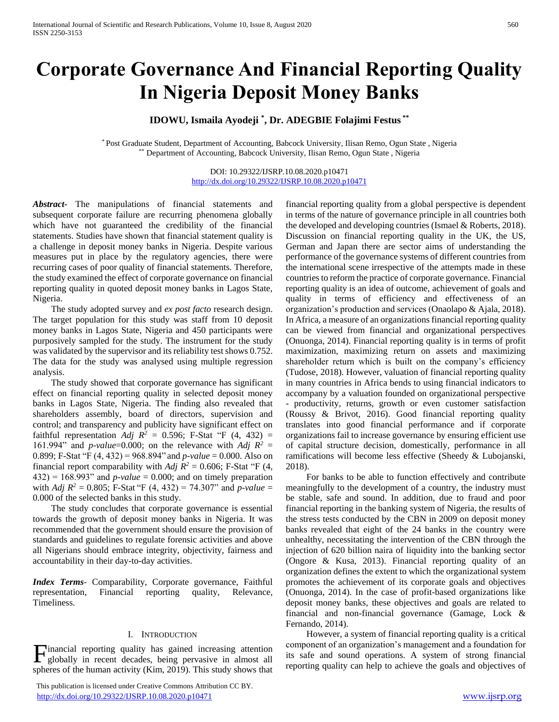# **Corporate Governance And Financial Reporting Quality In Nigeria Deposit Money Banks**

# **IDOWU, Ismaila Ayodeji \* , Dr. ADEGBIE Folajimi Festus \*\***

\* Post Graduate Student, Department of Accounting, Babcock University, Ilisan Remo, Ogun State , Nigeria \*\* Department of Accounting, Babcock University, Ilisan Remo, Ogun State , Nigeria

> DOI: 10.29322/IJSRP.10.08.2020.p10471 <http://dx.doi.org/10.29322/IJSRP.10.08.2020.p10471>

*Abstract***-** The manipulations of financial statements and subsequent corporate failure are recurring phenomena globally which have not guaranteed the credibility of the financial statements. Studies have shown that financial statement quality is a challenge in deposit money banks in Nigeria. Despite various measures put in place by the regulatory agencies, there were recurring cases of poor quality of financial statements. Therefore, the study examined the effect of corporate governance on financial reporting quality in quoted deposit money banks in Lagos State, Nigeria.

 The study adopted survey and *ex post facto* research design. The target population for this study was staff from 10 deposit money banks in Lagos State, Nigeria and 450 participants were purposively sampled for the study. The instrument for the study was validated by the supervisor and its reliability test shows 0.752. The data for the study was analysed using multiple regression analysis.

 The study showed that corporate governance has significant effect on financial reporting quality in selected deposit money banks in Lagos State, Nigeria. The finding also revealed that shareholders assembly, board of directors, supervision and control; and transparency and publicity have significant effect on faithful representation *Adj R<sup>2</sup>* = 0.596; F-Stat "F (4, 432) = 161.994" and *p-value*=0.000; on the relevance with *Adj*  $R^2$  = 0.899; F-Stat "F (4, 432) = 968.894" and *p-value* = 0.000. Also on financial report comparability with *Adj*  $R^2 = 0.606$ ; F-Stat "F (4,  $432$ ) = 168.993" and *p-value* = 0.000; and on timely preparation with *Adj R<sup>2</sup>* = 0.805; F-Stat "F (4, 432) = 74.307" and *p-value* = 0.000 of the selected banks in this study.

 The study concludes that corporate governance is essential towards the growth of deposit money banks in Nigeria. It was recommended that the government should ensure the provision of standards and guidelines to regulate forensic activities and above all Nigerians should embrace integrity, objectivity, fairness and accountability in their day-to-day activities.

*Index Terms*- Comparability, Corporate governance, Faithful representation, Financial reporting quality, Relevance, Timeliness.

#### I. INTRODUCTION

globally in recent decades, being pervasive in almost all spheres of the human activity (Kim, 2019). This study shows that

 This publication is licensed under Creative Commons Attribution CC BY. <http://dx.doi.org/10.29322/IJSRP.10.08.2020.p10471> [www.ijsrp.org](http://ijsrp.org/)

financial reporting quality from a global perspective is dependent in terms of the nature of governance principle in all countries both the developed and developing countries (Ismael & Roberts, 2018). Discussion on financial reporting quality in the UK, the US, German and Japan there are sector aims of understanding the performance of the governance systems of different countries from the international scene irrespective of the attempts made in these countries to reform the practice of corporate governance. Financial reporting quality is an idea of outcome, achievement of goals and quality in terms of efficiency and effectiveness of an organization's production and services (Onaolapo & Ajala, 2018). In Africa, a measure of an organizations financial reporting quality can be viewed from financial and organizational perspectives (Onuonga, 2014). Financial reporting quality is in terms of profit maximization, maximizing return on assets and maximizing shareholder return which is built on the company's efficiency (Tudose, 2018). However, valuation of financial reporting quality in many countries in Africa bends to using financial indicators to accompany by a valuation founded on organizational perspective - productivity, returns, growth or even customer satisfaction (Roussy & Brivot, 2016). Good financial reporting quality translates into good financial performance and if corporate organizations fail to increase governance by ensuring efficient use of capital structure decision, domestically, performance in all ramifications will become less effective (Sheedy & Lubojanski, 2018).

 For banks to be able to function effectively and contribute meaningfully to the development of a country, the industry must be stable, safe and sound. In addition, due to fraud and poor financial reporting in the banking system of Nigeria, the results of the stress tests conducted by the CBN in 2009 on deposit money banks revealed that eight of the 24 banks in the country were unhealthy, necessitating the intervention of the CBN through the injection of 620 billion naira of liquidity into the banking sector (Ongore & Kusa, 2013). Financial reporting quality of an organization defines the extent to which the organizational system promotes the achievement of its corporate goals and objectives (Onuonga, 2014). In the case of profit-based organizations like deposit money banks, these objectives and goals are related to financial and non-financial governance (Gamage, Lock & Fernando, 2014).

Financial reporting quality has gained increasing attention<br>
globally in recent decades, being pervasive in almost all<br>
spectring quality can help to achieve the goals and objectives of<br>
reporting quality can help to achi However, a system of financial reporting quality is a critical component of an organization's management and a foundation for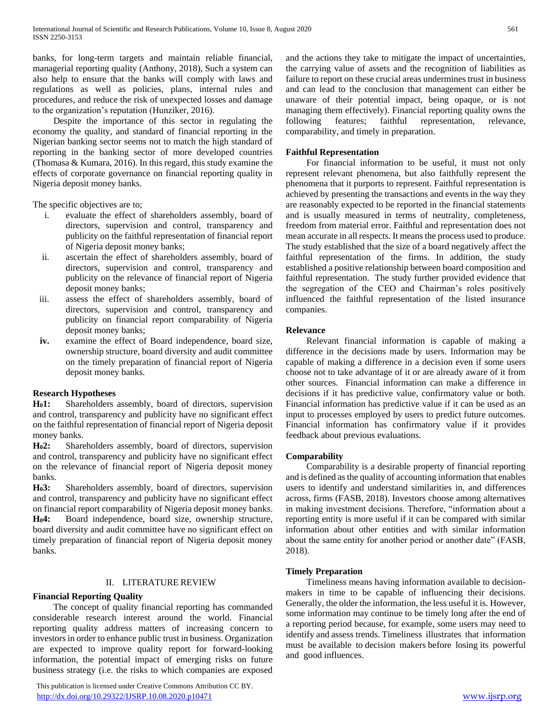banks, for long-term targets and maintain reliable financial, managerial reporting quality (Anthony, 2018), Such a system can also help to ensure that the banks will comply with laws and regulations as well as policies, plans, internal rules and procedures, and reduce the risk of unexpected losses and damage to the organization's reputation (Hunziker, 2016).

 Despite the importance of this sector in regulating the economy the quality, and standard of financial reporting in the Nigerian banking sector seems not to match the high standard of reporting in the banking sector of more developed countries (Thomasa & Kumara, 2016). In this regard, this study examine the effects of corporate governance on financial reporting quality in Nigeria deposit money banks.

The specific objectives are to;

- i. evaluate the effect of shareholders assembly, board of directors, supervision and control, transparency and publicity on the faithful representation of financial report of Nigeria deposit money banks;
- ii. ascertain the effect of shareholders assembly, board of directors, supervision and control, transparency and publicity on the relevance of financial report of Nigeria deposit money banks;
- iii. assess the effect of shareholders assembly, board of directors, supervision and control, transparency and publicity on financial report comparability of Nigeria deposit money banks;
- **iv.** examine the effect of Board independence, board size, ownership structure, board diversity and audit committee on the timely preparation of financial report of Nigeria deposit money banks.

#### **Research Hypotheses**

**H01:** Shareholders assembly, board of directors, supervision and control, transparency and publicity have no significant effect on the faithful representation of financial report of Nigeria deposit money banks.

**H02:** Shareholders assembly, board of directors, supervision and control, transparency and publicity have no significant effect on the relevance of financial report of Nigeria deposit money banks.

**H03:** Shareholders assembly, board of directors, supervision and control, transparency and publicity have no significant effect on financial report comparability of Nigeria deposit money banks. **H04:** Board independence, board size, ownership structure, board diversity and audit committee have no significant effect on timely preparation of financial report of Nigeria deposit money banks.

#### II. LITERATURE REVIEW

# **Financial Reporting Quality**

 The concept of quality financial reporting has commanded considerable research interest around the world. Financial reporting quality address matters of increasing concern to investors in order to enhance public trust in business. Organization are expected to improve quality report for forward-looking information, the potential impact of emerging risks on future business strategy (i.e. the risks to which companies are exposed

 This publication is licensed under Creative Commons Attribution CC BY. <http://dx.doi.org/10.29322/IJSRP.10.08.2020.p10471> [www.ijsrp.org](http://ijsrp.org/)

and the actions they take to mitigate the impact of uncertainties, the carrying value of assets and the recognition of liabilities as failure to report on these crucial areas undermines trust in business and can lead to the conclusion that management can either be unaware of their potential impact, being opaque, or is not managing them effectively). Financial reporting quality owns the following features; faithful representation, relevance, following features; faithful representation, relevance, comparability, and timely in preparation.

#### **Faithful Representation**

 For financial information to be useful, it must not only represent relevant phenomena, but also faithfully represent the phenomena that it purports to represent. Faithful representation is achieved by presenting the transactions and events in the way they are reasonably expected to be reported in the financial statements and is usually measured in terms of neutrality, completeness, freedom from material error. Faithful and representation does not mean accurate in all respects. It means the process used to produce. The study established that the size of a board negatively affect the faithful representation of the firms. In addition, the study established a positive relationship between board composition and faithful representation. The study further provided evidence that the segregation of the CEO and Chairman's roles positively influenced the faithful representation of the listed insurance companies.

### **Relevance**

 Relevant financial information is capable of making a difference in the decisions made by users. Information may be capable of making a difference in a decision even if some users choose not to take advantage of it or are already aware of it from other sources. Financial information can make a difference in decisions if it has predictive value, confirmatory value or both. Financial information has predictive value if it can be used as an input to processes employed by users to predict future outcomes. Financial information has confirmatory value if it provides feedback about previous evaluations.

# **Comparability**

 Comparability is a desirable property of financial reporting and is defined as the quality of accounting information that enables users to identify and understand similarities in, and differences across, firms (FASB, 2018). Investors choose among alternatives in making investment decisions. Therefore, "information about a reporting entity is more useful if it can be compared with similar information about other entities and with similar information about the same entity for another period or another date" (FASB, 2018).

#### **Timely Preparation**

 Timeliness means having information available to decisionmakers in time to be capable of influencing their decisions. Generally, the older the information, the less useful it is. However, some information may continue to be timely long after the end of a reporting period because, for example, some users may need to identify and assess trends. Timeliness illustrates that information must be available to decision makers before losing its powerful and good influences.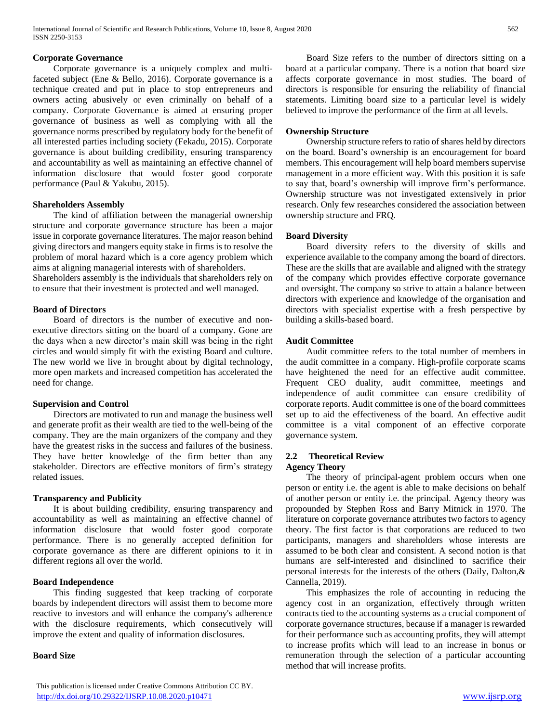# **Corporate Governance**

 Corporate governance is a uniquely complex and multifaceted subject (Ene & Bello, 2016). Corporate governance is a technique created and put in place to stop entrepreneurs and owners acting abusively or even criminally on behalf of a company. Corporate Governance is aimed at ensuring proper governance of business as well as complying with all the governance norms prescribed by regulatory body for the benefit of all interested parties including society (Fekadu, 2015). Corporate governance is about building credibility, ensuring transparency and accountability as well as maintaining an effective channel of information disclosure that would foster good corporate performance (Paul & Yakubu, 2015).

#### **Shareholders Assembly**

 The kind of affiliation between the managerial ownership structure and corporate governance structure has been a major issue in corporate governance literatures. The major reason behind giving directors and mangers equity stake in firms is to resolve the problem of moral hazard which is a core agency problem which aims at aligning managerial interests with of shareholders.

Shareholders assembly is the individuals that shareholders rely on to ensure that their investment is protected and well managed.

# **Board of Directors**

 Board of directors is the number of executive and nonexecutive directors sitting on the board of a company. Gone are the days when a new director's main skill was being in the right circles and would simply fit with the existing Board and culture. The new world we live in brought about by digital technology, more open markets and increased competition has accelerated the need for change.

# **Supervision and Control**

 Directors are motivated to run and manage the business well and generate profit as their wealth are tied to the well-being of the company. They are the main organizers of the company and they have the greatest risks in the success and failures of the business. They have better knowledge of the firm better than any stakeholder. Directors are effective monitors of firm's strategy related issues.

# **Transparency and Publicity**

 It is about building credibility, ensuring transparency and accountability as well as maintaining an effective channel of information disclosure that would foster good corporate performance. There is no generally accepted definition for corporate governance as there are different opinions to it in different regions all over the world.

#### **Board Independence**

 This finding suggested that keep tracking of corporate boards by independent directors will assist them to become more reactive to investors and will enhance the company's adherence with the disclosure requirements, which consecutively will improve the extent and quality of information disclosures.

#### **Board Size**

 Board Size refers to the number of directors sitting on a board at a particular company. There is a notion that board size affects corporate governance in most studies. The board of directors is responsible for ensuring the reliability of financial statements. Limiting board size to a particular level is widely believed to improve the performance of the firm at all levels.

# **Ownership Structure**

 Ownership structure refers to ratio of shares held by directors on the board. Board's ownership is an encouragement for board members. This encouragement will help board members supervise management in a more efficient way. With this position it is safe to say that, board's ownership will improve firm's performance. Ownership structure was not investigated extensively in prior research. Only few researches considered the association between ownership structure and FRQ.

# **Board Diversity**

 Board diversity refers to the diversity of skills and experience available to the company among the board of directors. These are the skills that are available and aligned with the strategy of the company which provides effective corporate governance and oversight. The company so strive to attain a balance between directors with experience and knowledge of the organisation and directors with specialist expertise with a fresh perspective by building a skills-based board.

# **Audit Committee**

 Audit committee refers to the total number of members in the audit committee in a company. High-profile corporate scams have heightened the need for an effective audit committee. Frequent CEO duality, audit committee, meetings and independence of audit committee can ensure credibility of corporate reports. Audit committee is one of the board committees set up to aid the effectiveness of the board. An effective audit committee is a vital component of an effective corporate governance system.

#### **2.2 Theoretical Review Agency Theory**

 The theory of principal-agent problem occurs when one person or entity i.e. the agent is able to make decisions on behalf of another person or entity i.e. the principal. Agency theory was propounded by Stephen Ross and Barry Mitnick in 1970. The literature on corporate governance attributes two factors to agency theory. The first factor is that corporations are reduced to two participants, managers and shareholders whose interests are assumed to be both clear and consistent. A second notion is that humans are self-interested and disinclined to sacrifice their personal interests for the interests of the others (Daily, Dalton,& Cannella, 2019).

 This emphasizes the role of accounting in reducing the agency cost in an organization, effectively through written contracts tied to the accounting systems as a crucial component of corporate governance structures, because if a manager is rewarded for their performance such as accounting profits, they will attempt to increase profits which will lead to an increase in bonus or remuneration through the selection of a particular accounting method that will increase profits.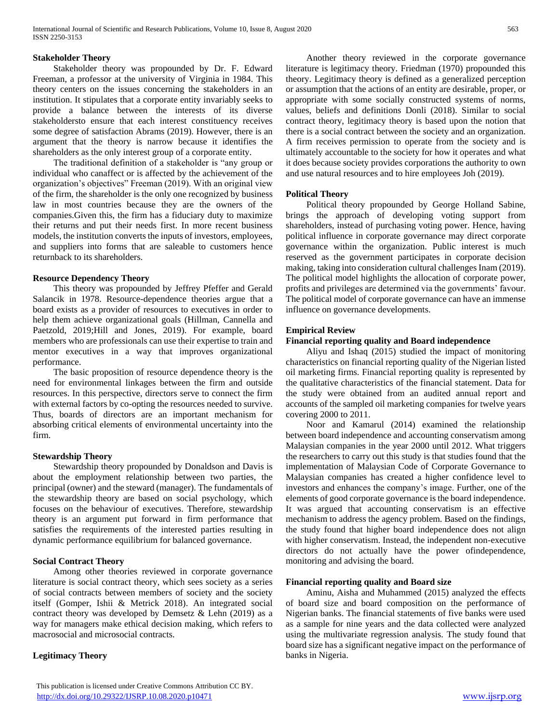#### **Stakeholder Theory**

 Stakeholder theory was propounded by Dr. F. Edward Freeman, a professor at the university of Virginia in 1984. This theory centers on the issues concerning the stakeholders in an institution. It stipulates that a corporate entity invariably seeks to provide a balance between the interests of its diverse stakeholdersto ensure that each interest constituency receives some degree of satisfaction Abrams (2019). However, there is an argument that the theory is narrow because it identifies the shareholders as the only interest group of a corporate entity.

 The traditional definition of a stakeholder is "any group or individual who canaffect or is affected by the achievement of the organization's objectives" Freeman (2019). With an original view of the firm, the shareholder is the only one recognized by business law in most countries because they are the owners of the companies.Given this, the firm has a fiduciary duty to maximize their returns and put their needs first. In more recent business models, the institution converts the inputs of investors, employees, and suppliers into forms that are saleable to customers hence returnback to its shareholders.

#### **Resource Dependency Theory**

 This theory was propounded by Jeffrey Pfeffer and Gerald Salancik in 1978. Resource-dependence theories argue that a board exists as a provider of resources to executives in order to help them achieve organizational goals (Hillman, Cannella and Paetzold, 2019;Hill and Jones, 2019). For example, board members who are professionals can use their expertise to train and mentor executives in a way that improves organizational performance.

 The basic proposition of resource dependence theory is the need for environmental linkages between the firm and outside resources. In this perspective, directors serve to connect the firm with external factors by co-opting the resources needed to survive. Thus, boards of directors are an important mechanism for absorbing critical elements of environmental uncertainty into the firm.

#### **Stewardship Theory**

 Stewardship theory propounded by Donaldson and Davis is about the employment relationship between two parties, the principal (owner) and the steward (manager). The fundamentals of the stewardship theory are based on social psychology, which focuses on the behaviour of executives. Therefore, stewardship theory is an argument put forward in firm performance that satisfies the requirements of the interested parties resulting in dynamic performance equilibrium for balanced governance.

#### **Social Contract Theory**

 Among other theories reviewed in corporate governance literature is social contract theory, which sees society as a series of social contracts between members of society and the society itself (Gomper, Ishii & Metrick 2018). An integrated social contract theory was developed by Demsetz  $\&$  Lehn (2019) as a way for managers make ethical decision making, which refers to macrosocial and microsocial contracts.

#### **Legitimacy Theory**

 Another theory reviewed in the corporate governance literature is legitimacy theory. Friedman (1970) propounded this theory. Legitimacy theory is defined as a generalized perception or assumption that the actions of an entity are desirable, proper, or appropriate with some socially constructed systems of norms, values, beliefs and definitions Donli (2018). Similar to social contract theory, legitimacy theory is based upon the notion that there is a social contract between the society and an organization. A firm receives permission to operate from the society and is ultimately accountable to the society for how it operates and what it does because society provides corporations the authority to own and use natural resources and to hire employees Joh (2019).

#### **Political Theory**

 Political theory propounded by George Holland Sabine, brings the approach of developing voting support from shareholders, instead of purchasing voting power. Hence, having political influence in corporate governance may direct corporate governance within the organization. Public interest is much reserved as the government participates in corporate decision making, taking into consideration cultural challenges Inam (2019). The political model highlights the allocation of corporate power, profits and privileges are determined via the governments' favour. The political model of corporate governance can have an immense influence on governance developments.

# **Empirical Review**

#### **Financial reporting quality and Board independence**

 Aliyu and Ishaq (2015) studied the impact of monitoring characteristics on financial reporting quality of the Nigerian listed oil marketing firms. Financial reporting quality is represented by the qualitative characteristics of the financial statement. Data for the study were obtained from an audited annual report and accounts of the sampled oil marketing companies for twelve years covering 2000 to 2011.

 Noor and Kamarul (2014) examined the relationship between board independence and accounting conservatism among Malaysian companies in the year 2000 until 2012. What triggers the researchers to carry out this study is that studies found that the implementation of Malaysian Code of Corporate Governance to Malaysian companies has created a higher confidence level to investors and enhances the company's image. Further, one of the elements of good corporate governance is the board independence. It was argued that accounting conservatism is an effective mechanism to address the agency problem. Based on the findings, the study found that higher board independence does not align with higher conservatism. Instead, the independent non-executive directors do not actually have the power ofindependence, monitoring and advising the board.

#### **Financial reporting quality and Board size**

 Aminu, Aisha and Muhammed (2015) analyzed the effects of board size and board composition on the performance of Nigerian banks. The financial statements of five banks were used as a sample for nine years and the data collected were analyzed using the multivariate regression analysis. The study found that board size has a significant negative impact on the performance of banks in Nigeria.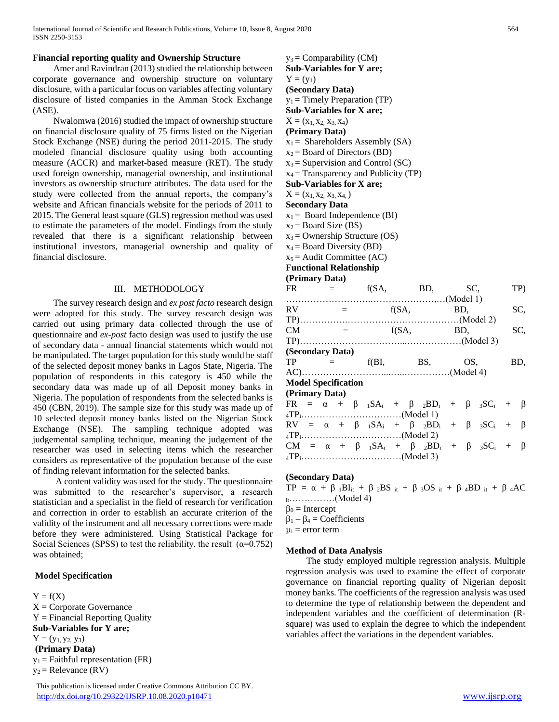#### **Financial reporting quality and Ownership Structure**

 Amer and Ravindran (2013) studied the relationship between corporate governance and ownership structure on voluntary disclosure, with a particular focus on variables affecting voluntary disclosure of listed companies in the Amman Stock Exchange (ASE).

 Nwalomwa (2016) studied the impact of ownership structure on financial disclosure quality of 75 firms listed on the Nigerian Stock Exchange (NSE) during the period 2011-2015. The study modeled financial disclosure quality using both accounting measure (ACCR) and market-based measure (RET). The study used foreign ownership, managerial ownership, and institutional investors as ownership structure attributes. The data used for the study were collected from the annual reports, the company's website and African financials website for the periods of 2011 to 2015. The General least square (GLS) regression method was used to estimate the parameters of the model. Findings from the study revealed that there is a significant relationship between institutional investors, managerial ownership and quality of financial disclosure.

#### III. METHODOLOGY

 The survey research design and *ex post facto* research design were adopted for this study. The survey research design was carried out using primary data collected through the use of questionnaire and *ex-post* facto design was used to justify the use of secondary data - annual financial statements which would not be manipulated. The target population for this study would be staff of the selected deposit money banks in Lagos State, Nigeria. The population of respondents in this category is 450 while the secondary data was made up of all Deposit money banks in Nigeria. The population of respondents from the selected banks is 450 (CBN, 2019). The sample size for this study was made up of 10 selected deposit money banks listed on the Nigerian Stock Exchange (NSE). The sampling technique adopted was judgemental sampling technique, meaning the judgement of the researcher was used in selecting items which the researcher considers as representative of the population because of the ease of finding relevant information for the selected banks.

 A content validity was used for the study. The questionnaire was submitted to the researcher's supervisor, a research statistician and a specialist in the field of research for verification and correction in order to establish an accurate criterion of the validity of the instrument and all necessary corrections were made before they were administered. Using Statistical Package for Social Sciences (SPSS) to test the reliability, the result  $(\alpha=0.752)$ was obtained;

## **Model Specification**

 $Y = f(X)$  $X =$  Corporate Governance  $Y = Financial$  Reporting Quality **Sub-Variables for Y are;**  $Y = (y_1, y_2, y_3)$ **(Primary Data)**  $y_1$  = Faithful representation (FR)  $y_2$  = Relevance (RV)

 This publication is licensed under Creative Commons Attribution CC BY. <http://dx.doi.org/10.29322/IJSRP.10.08.2020.p10471> [www.ijsrp.org](http://ijsrp.org/)

| $y_3$ = Comparability (CM)              |
|-----------------------------------------|
| <b>Sub-Variables for Y are:</b>         |
| $Y = (y_1)$                             |
| (Secondary Data)                        |
| $y_1$ = Timely Preparation (TP)         |
| <b>Sub-Variables for X are:</b>         |
| $X = (x_1, x_2, x_3, x_4)$              |
| (Primary Data)                          |
| $x_1$ = Shareholders Assembly (SA)      |
| $x_2$ = Board of Directors (BD)         |
| $x_3$ = Supervision and Control (SC)    |
| $x_4$ = Transparency and Publicity (TP) |
| <b>Sub-Variables for X are:</b>         |
| $X = (x_1, x_2, x_3, x_4)$              |
| <b>Secondary Data</b>                   |
| $x_1$ = Board Independence (BI)         |
| $x_2$ = Board Size (BS)                 |
| $x_3$ = Ownership Structure (OS)        |
| $\sim$ Decay Dimensity (DD)             |

 $x_4$  = Board Diversity (BD)

 $x_5$  = Audit Committee (AC)

**Functional Relationship**

# **(Primary Data)**  $FR = f(SA, BD, SC, TP)$ ……………………….…………………,…(Model 1)

| RV.                        |  | $\equiv$ |                      |  | f(SA,                                                                           | BD. |  | SC, |
|----------------------------|--|----------|----------------------|--|---------------------------------------------------------------------------------|-----|--|-----|
|                            |  |          |                      |  |                                                                                 |     |  |     |
| CM                         |  |          | 100 Million No. 2010 |  | f(SA,                                                                           | BD. |  | SC, |
|                            |  |          |                      |  |                                                                                 |     |  |     |
| (Secondary Data)           |  |          |                      |  |                                                                                 |     |  |     |
| $TP = 1$                   |  |          |                      |  | $f(BI,$ BS,                                                                     | OS. |  | BD, |
|                            |  |          |                      |  |                                                                                 |     |  |     |
| <b>Model Specification</b> |  |          |                      |  |                                                                                 |     |  |     |
| (Primary Data)             |  |          |                      |  |                                                                                 |     |  |     |
|                            |  |          |                      |  | $FR = \alpha + \beta_{1}SA_{i} + \beta_{2}BD_{i} + \beta_{3}SC_{i} + \beta_{3}$ |     |  |     |
|                            |  |          |                      |  |                                                                                 |     |  |     |
|                            |  |          |                      |  | $RV = \alpha + \beta_{1}SA_{i} + \beta_{2}BD_{i} + \beta_{3}SC_{i} + \beta_{3}$ |     |  |     |
|                            |  |          |                      |  |                                                                                 |     |  |     |
|                            |  |          |                      |  | $CM = \alpha + \beta$ ${}_1SA_i + \beta$ ${}_2BD_i + \beta$ ${}_3SC_i + \beta$  |     |  |     |
|                            |  |          |                      |  |                                                                                 |     |  |     |
|                            |  |          |                      |  |                                                                                 |     |  |     |

# **(Secondary Data)**

TP =  $\alpha$  +  $\beta$  1BI<sub>it</sub> +  $\beta$  2BS i<sub>t</sub> +  $\beta$  3OS i<sub>t</sub> +  $\beta$  4BD i<sub>t</sub> +  $\beta$  4AC it……………(Model 4)  $\beta_0$  = Intercept  $\beta_1 - \beta_4 =$  Coefficients  $\mu_i$  = error term

# **Method of Data Analysis**

 The study employed multiple regression analysis. Multiple regression analysis was used to examine the effect of corporate governance on financial reporting quality of Nigerian deposit money banks. The coefficients of the regression analysis was used to determine the type of relationship between the dependent and independent variables and the coefficient of determination (Rsquare) was used to explain the degree to which the independent variables affect the variations in the dependent variables.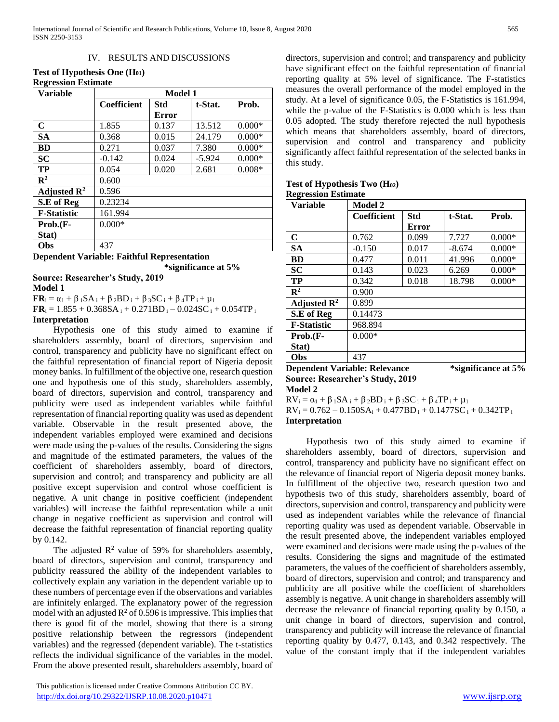#### IV. RESULTS AND DISCUSSIONS

### **Test of Hypothesis One (H01) Regression Estimate**

| <b>Variable</b>         | <b>Model 1</b>     |       |          |          |  |  |
|-------------------------|--------------------|-------|----------|----------|--|--|
|                         | <b>Coefficient</b> | Std   | t-Stat.  | Prob.    |  |  |
|                         |                    | Error |          |          |  |  |
| $\mathbf C$             | 1.855              | 0.137 | 13.512   | $0.000*$ |  |  |
| <b>SA</b>               | 0.368              | 0.015 | 24.179   | $0.000*$ |  |  |
| <b>BD</b>               | 0.271              | 0.037 | 7.380    | $0.000*$ |  |  |
| <b>SC</b>               | $-0.142$           | 0.024 | $-5.924$ | $0.000*$ |  |  |
| TP                      | 0.054              | 0.020 | 2.681    | $0.008*$ |  |  |
| $\mathbb{R}^2$          | 0.600              |       |          |          |  |  |
| Adjusted $\mathbb{R}^2$ | 0.596              |       |          |          |  |  |
| S.E of Reg              | 0.23234            |       |          |          |  |  |
| <b>F-Statistic</b>      | 161.994            |       |          |          |  |  |
| Prob.(F-                | $0.000*$           |       |          |          |  |  |
| Stat)                   |                    |       |          |          |  |  |
| Obs                     | 437                |       |          |          |  |  |

**Dependent Variable: Faithful Representation \*significance at 5%** 

# **Source: Researcher's Study, 2019**

**Model 1** 

**FR**<sub>i</sub> =  $\alpha_1$  +  $\beta_1$ SA<sub>i</sub> +  $\beta_2$ BD<sub>i</sub> +  $\beta_3$ SC<sub>i</sub> +  $\beta_4$ TP<sub>i</sub> +  $\mu_1$  $\mathbf{FR}_i = 1.855 + 0.368SA_i + 0.271BD_i - 0.024SC_i + 0.054TP_i$ **Interpretation**

 Hypothesis one of this study aimed to examine if shareholders assembly, board of directors, supervision and control, transparency and publicity have no significant effect on the faithful representation of financial report of Nigeria deposit money banks. In fulfillment of the objective one, research question one and hypothesis one of this study, shareholders assembly, board of directors, supervision and control, transparency and publicity were used as independent variables while faithful representation of financial reporting quality was used as dependent variable. Observable in the result presented above, the independent variables employed were examined and decisions were made using the p-values of the results. Considering the signs and magnitude of the estimated parameters, the values of the coefficient of shareholders assembly, board of directors, supervision and control; and transparency and publicity are all positive except supervision and control whose coefficient is

negative. A unit change in positive coefficient (independent variables) will increase the faithful representation while a unit change in negative coefficient as supervision and control will decrease the faithful representation of financial reporting quality by 0.142.

The adjusted  $\mathbb{R}^2$  value of 59% for shareholders assembly, board of directors, supervision and control, transparency and publicity reassured the ability of the independent variables to collectively explain any variation in the dependent variable up to these numbers of percentage even if the observations and variables are infinitely enlarged. The explanatory power of the regression model with an adjusted  $\mathbb{R}^2$  of 0.596 is impressive. This implies that there is good fit of the model, showing that there is a strong positive relationship between the regressors (independent variables) and the regressed (dependent variable). The t-statistics reflects the individual significance of the variables in the model. From the above presented result, shareholders assembly, board of

 This publication is licensed under Creative Commons Attribution CC BY. <http://dx.doi.org/10.29322/IJSRP.10.08.2020.p10471> [www.ijsrp.org](http://ijsrp.org/)

directors, supervision and control; and transparency and publicity have significant effect on the faithful representation of financial reporting quality at 5% level of significance. The F-statistics measures the overall performance of the model employed in the study. At a level of significance 0.05, the F-Statistics is 161.994, while the p-value of the F-Statistics is 0.000 which is less than 0.05 adopted. The study therefore rejected the null hypothesis which means that shareholders assembly, board of directors, supervision and control and transparency and publicity significantly affect faithful representation of the selected banks in this study.

| Test of Hypothesis Two $(H_{02})$ |  |
|-----------------------------------|--|
| <b>Regression Estimate</b>        |  |

| <b>Model 2</b>     |              |                               |          |  |  |  |
|--------------------|--------------|-------------------------------|----------|--|--|--|
| <b>Coefficient</b> | Std          | t-Stat.                       | Prob.    |  |  |  |
|                    | <b>Error</b> |                               |          |  |  |  |
| 0.762              | 0.099        | 7.727                         | $0.000*$ |  |  |  |
| $-0.150$           | 0.017        | $-8.674$                      | $0.000*$ |  |  |  |
| 0.477              | 0.011        | 41.996                        | $0.000*$ |  |  |  |
| 0.143              | 0.023        | 6.269                         | $0.000*$ |  |  |  |
| 0.342              | 0.018        | 18.798                        | $0.000*$ |  |  |  |
| 0.900              |              |                               |          |  |  |  |
| 0.899              |              |                               |          |  |  |  |
| 0.14473            |              |                               |          |  |  |  |
| 968.894            |              |                               |          |  |  |  |
| $0.000*$           |              |                               |          |  |  |  |
|                    |              |                               |          |  |  |  |
| 437                |              |                               |          |  |  |  |
|                    |              | Denembert Ventable: Delegence |          |  |  |  |

**Dependent Variable: Relevance \*significance at 5% Source: Researcher's Study, 2019 Model 2** 

 $RV_i = \alpha_1 + \beta_1 SA_i + \beta_2 BD_i + \beta_3 SC_i + \beta_4 TP_i + \mu_1$  $RV_i = 0.762 - 0.150SA_i + 0.477BD_i + 0.1477SC_i + 0.342TP_i$ **Interpretation**

 Hypothesis two of this study aimed to examine if shareholders assembly, board of directors, supervision and control, transparency and publicity have no significant effect on the relevance of financial report of Nigeria deposit money banks. In fulfillment of the objective two, research question two and hypothesis two of this study, shareholders assembly, board of directors, supervision and control, transparency and publicity were used as independent variables while the relevance of financial reporting quality was used as dependent variable. Observable in the result presented above, the independent variables employed were examined and decisions were made using the p-values of the results. Considering the signs and magnitude of the estimated parameters, the values of the coefficient of shareholders assembly, board of directors, supervision and control; and transparency and publicity are all positive while the coefficient of shareholders assembly is negative. A unit change in shareholders assembly will decrease the relevance of financial reporting quality by 0.150, a unit change in board of directors, supervision and control, transparency and publicity will increase the relevance of financial reporting quality by 0.477, 0.143, and 0.342 respectively. The value of the constant imply that if the independent variables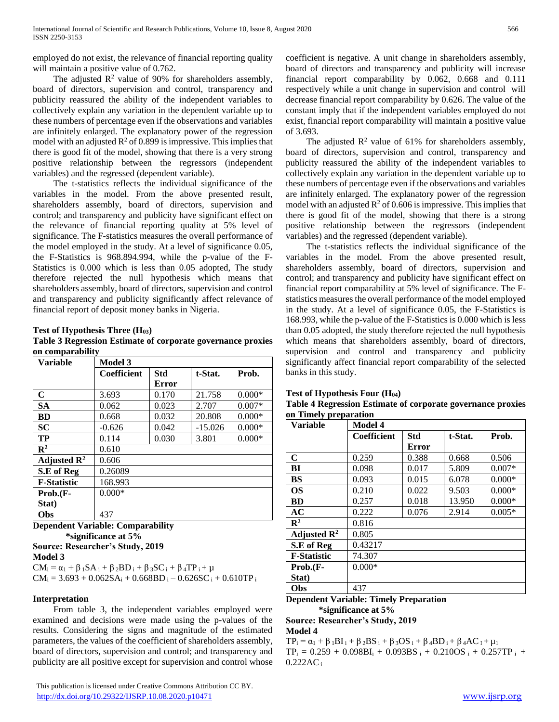employed do not exist, the relevance of financial reporting quality will maintain a positive value of 0.762.

The adjusted  $\mathbb{R}^2$  value of 90% for shareholders assembly, board of directors, supervision and control, transparency and publicity reassured the ability of the independent variables to collectively explain any variation in the dependent variable up to these numbers of percentage even if the observations and variables are infinitely enlarged. The explanatory power of the regression model with an adjusted  $R^2$  of 0.899 is impressive. This implies that there is good fit of the model, showing that there is a very strong positive relationship between the regressors (independent variables) and the regressed (dependent variable).

 The t-statistics reflects the individual significance of the variables in the model. From the above presented result, shareholders assembly, board of directors, supervision and control; and transparency and publicity have significant effect on the relevance of financial reporting quality at 5% level of significance. The F-statistics measures the overall performance of the model employed in the study. At a level of significance 0.05, the F-Statistics is 968.894.994, while the p-value of the F-Statistics is 0.000 which is less than 0.05 adopted, The study therefore rejected the null hypothesis which means that shareholders assembly, board of directors, supervision and control and transparency and publicity significantly affect relevance of financial report of deposit money banks in Nigeria.

**Test of Hypothesis Three (H03)**

**Table 3 Regression Estimate of corporate governance proxies on comparability** 

| <b>Variable</b>         | <b>Model 3</b>     |              |           |          |  |  |  |
|-------------------------|--------------------|--------------|-----------|----------|--|--|--|
|                         | <b>Coefficient</b> | <b>Std</b>   | t-Stat.   | Prob.    |  |  |  |
|                         |                    | <b>Error</b> |           |          |  |  |  |
| $\mathbf C$             | 3.693              | 0.170        | 21.758    | $0.000*$ |  |  |  |
| <b>SA</b>               | 0.062              | 0.023        | 2.707     | $0.007*$ |  |  |  |
| <b>BD</b>               | 0.668              | 0.032        | 20.808    | $0.000*$ |  |  |  |
| <b>SC</b>               | $-0.626$           | 0.042        | $-15.026$ | $0.000*$ |  |  |  |
| <b>TP</b>               | 0.114              | 0.030        | 3.801     | $0.000*$ |  |  |  |
| $\mathbf{R}^2$          | 0.610              |              |           |          |  |  |  |
| Adjusted $\mathbb{R}^2$ | 0.606              |              |           |          |  |  |  |
| S.E of Reg              | 0.26089            |              |           |          |  |  |  |
| <b>F-Statistic</b>      | 168.993            |              |           |          |  |  |  |
| $Prob.F$ -              | $0.000*$           |              |           |          |  |  |  |
| Stat)                   |                    |              |           |          |  |  |  |
| Obs                     | 437                |              |           |          |  |  |  |

**Dependent Variable: Comparability \*significance at 5%** 

**Source: Researcher's Study, 2019 Model 3** 

 $CM_i = \alpha_1 + \beta_1 SA_i + \beta_2 BD_i + \beta_3 SC_i + \beta_4 TP_i + \mu$  $CM_i = 3.693 + 0.062SA_i + 0.668BD_i - 0.626SC_i + 0.610TP_i$ 

# **Interpretation**

 From table 3, the independent variables employed were examined and decisions were made using the p-values of the results. Considering the signs and magnitude of the estimated parameters, the values of the coefficient of shareholders assembly, board of directors, supervision and control; and transparency and publicity are all positive except for supervision and control whose

 This publication is licensed under Creative Commons Attribution CC BY. <http://dx.doi.org/10.29322/IJSRP.10.08.2020.p10471> [www.ijsrp.org](http://ijsrp.org/)

coefficient is negative. A unit change in shareholders assembly, board of directors and transparency and publicity will increase financial report comparability by 0.062, 0.668 and 0.111 respectively while a unit change in supervision and control will decrease financial report comparability by 0.626. The value of the constant imply that if the independent variables employed do not exist, financial report comparability will maintain a positive value of 3.693.

The adjusted  $\mathbb{R}^2$  value of 61% for shareholders assembly, board of directors, supervision and control, transparency and publicity reassured the ability of the independent variables to collectively explain any variation in the dependent variable up to these numbers of percentage even if the observations and variables are infinitely enlarged. The explanatory power of the regression model with an adjusted  $R^2$  of 0.606 is impressive. This implies that there is good fit of the model, showing that there is a strong positive relationship between the regressors (independent variables) and the regressed (dependent variable).

 The t-statistics reflects the individual significance of the variables in the model. From the above presented result, shareholders assembly, board of directors, supervision and control; and transparency and publicity have significant effect on financial report comparability at 5% level of significance. The Fstatistics measures the overall performance of the model employed in the study. At a level of significance 0.05, the F-Statistics is 168.993, while the p-value of the F-Statistics is 0.000 which is less than 0.05 adopted, the study therefore rejected the null hypothesis which means that shareholders assembly, board of directors, supervision and control and transparency and publicity significantly affect financial report comparability of the selected banks in this study.

| <b>Test of Hypothesis Four <math>(H_{04})</math></b>        |
|-------------------------------------------------------------|
| Table 4 Regression Estimate of corporate governance proxies |
| on Timely preparation                                       |

| он типету ргератанон<br><b>Variable</b> | Model 4            |              |         |          |  |  |  |
|-----------------------------------------|--------------------|--------------|---------|----------|--|--|--|
|                                         | <b>Coefficient</b> | Std          | t-Stat. | Prob.    |  |  |  |
|                                         |                    | <b>Error</b> |         |          |  |  |  |
| $\mathbf C$                             | 0.259              | 0.388        | 0.668   | 0.506    |  |  |  |
| BI                                      | 0.098              | 0.017        | 5.809   | $0.007*$ |  |  |  |
| <b>BS</b>                               | 0.093              | 0.015        | 6.078   | $0.000*$ |  |  |  |
| <b>OS</b>                               | 0.210              | 0.022        | 9.503   | $0.000*$ |  |  |  |
| <b>BD</b>                               | 0.257              | 0.018        | 13.950  | $0.000*$ |  |  |  |
| AC                                      | 0.222              | 0.076        | 2.914   | $0.005*$ |  |  |  |
| $\mathbb{R}^2$                          | 0.816              |              |         |          |  |  |  |
| Adjusted $\mathbb{R}^2$                 | 0.805              |              |         |          |  |  |  |
| S.E of Reg                              | 0.43217            |              |         |          |  |  |  |
| <b>F-Statistic</b>                      | 74.307             |              |         |          |  |  |  |
| Prob.(F-                                | $0.000*$           |              |         |          |  |  |  |
| Stat)                                   |                    |              |         |          |  |  |  |
| Obs                                     | 437                |              |         |          |  |  |  |

**Dependent Variable: Timely Preparation \*significance at 5%** 

**Source: Researcher's Study, 2019 Model 4** 

 $TP_i = \alpha_1 + \beta_1 BI_i + \beta_2 BS_i + \beta_3 OS_i + \beta_4 BD_i + \beta_4 AC_i + \mu_1$  $TP_i = 0.259 + 0.098BI_i + 0.093BS_i + 0.210OS_i + 0.257TP_i +$  $0.222AC_i$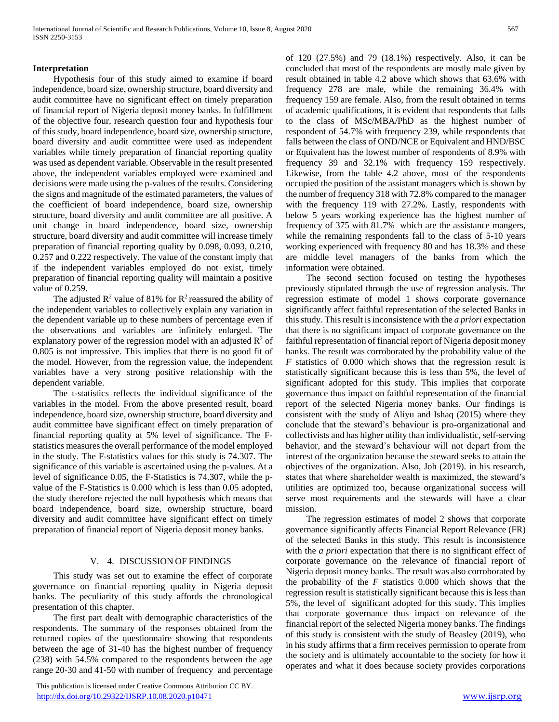#### **Interpretation**

 Hypothesis four of this study aimed to examine if board independence, board size, ownership structure, board diversity and audit committee have no significant effect on timely preparation of financial report of Nigeria deposit money banks. In fulfillment of the objective four, research question four and hypothesis four of this study, board independence, board size, ownership structure, board diversity and audit committee were used as independent variables while timely preparation of financial reporting quality was used as dependent variable. Observable in the result presented above, the independent variables employed were examined and decisions were made using the p-values of the results. Considering the signs and magnitude of the estimated parameters, the values of the coefficient of board independence, board size, ownership structure, board diversity and audit committee are all positive. A unit change in board independence, board size, ownership structure, board diversity and audit committee will increase timely preparation of financial reporting quality by 0.098, 0.093, 0.210, 0.257 and 0.222 respectively. The value of the constant imply that if the independent variables employed do not exist, timely preparation of financial reporting quality will maintain a positive value of 0.259.

The adjusted  $\mathbb{R}^2$  value of 81% for  $\mathbb{R}^2$  reassured the ability of the independent variables to collectively explain any variation in the dependent variable up to these numbers of percentage even if the observations and variables are infinitely enlarged. The explanatory power of the regression model with an adjusted  $\mathbb{R}^2$  of 0.805 is not impressive. This implies that there is no good fit of the model. However, from the regression value, the independent variables have a very strong positive relationship with the dependent variable.

 The t-statistics reflects the individual significance of the variables in the model. From the above presented result, board independence, board size, ownership structure, board diversity and audit committee have significant effect on timely preparation of financial reporting quality at 5% level of significance. The Fstatistics measures the overall performance of the model employed in the study. The F-statistics values for this study is 74.307. The significance of this variable is ascertained using the p-values. At a level of significance 0.05, the F-Statistics is 74.307, while the pvalue of the F-Statistics is 0.000 which is less than 0.05 adopted, the study therefore rejected the null hypothesis which means that board independence, board size, ownership structure, board diversity and audit committee have significant effect on timely preparation of financial report of Nigeria deposit money banks.

### V. 4. DISCUSSION OF FINDINGS

 This study was set out to examine the effect of corporate governance on financial reporting quality in Nigeria deposit banks. The peculiarity of this study affords the chronological presentation of this chapter.

 The first part dealt with demographic characteristics of the respondents. The summary of the responses obtained from the returned copies of the questionnaire showing that respondents between the age of 31-40 has the highest number of frequency (238) with 54.5% compared to the respondents between the age range 20-30 and 41-50 with number of frequency and percentage

 This publication is licensed under Creative Commons Attribution CC BY. <http://dx.doi.org/10.29322/IJSRP.10.08.2020.p10471> [www.ijsrp.org](http://ijsrp.org/)

of 120 (27.5%) and 79 (18.1%) respectively. Also, it can be concluded that most of the respondents are mostly male given by result obtained in table 4.2 above which shows that 63.6% with frequency 278 are male, while the remaining 36.4% with frequency 159 are female. Also, from the result obtained in terms of academic qualifications, it is evident that respondents that falls to the class of MSc/MBA/PhD as the highest number of respondent of 54.7% with frequency 239, while respondents that falls between the class of OND/NCE or Equivalent and HND/BSC or Equivalent has the lowest number of respondents of 8.9% with frequency 39 and 32.1% with frequency 159 respectively. Likewise, from the table 4.2 above, most of the respondents occupied the position of the assistant managers which is shown by the number of frequency 318 with 72.8% compared to the manager with the frequency 119 with 27.2%. Lastly, respondents with below 5 years working experience has the highest number of frequency of 375 with 81.7% which are the assistance mangers, while the remaining respondents fall to the class of 5-10 years working experienced with frequency 80 and has 18.3% and these are middle level managers of the banks from which the information were obtained.

 The second section focused on testing the hypotheses previously stipulated through the use of regression analysis. The regression estimate of model 1 shows corporate governance significantly affect faithful representation of the selected Banks in this study. This result is inconsistence with the *a priori* expectation that there is no significant impact of corporate governance on the faithful representation of financial report of Nigeria deposit money banks. The result was corroborated by the probability value of the *F* statistics of 0.000 which shows that the regression result is statistically significant because this is less than 5%, the level of significant adopted for this study. This implies that corporate governance thus impact on faithful representation of the financial report of the selected Nigeria money banks. Our findings is consistent with the study of Aliyu and Ishaq (2015) where they conclude that the steward's behaviour is pro-organizational and collectivists and has higher utility than individualistic, self-serving behavior, and the steward's behaviour will not depart from the interest of the organization because the steward seeks to attain the objectives of the organization. Also, Joh (2019). in his research, states that where shareholder wealth is maximized, the steward's utilities are optimized too, because organizational success will serve most requirements and the stewards will have a clear mission.

 The regression estimates of model 2 shows that corporate governance significantly affects Financial Report Relevance (FR) of the selected Banks in this study. This result is inconsistence with the *a priori* expectation that there is no significant effect of corporate governance on the relevance of financial report of Nigeria deposit money banks. The result was also corroborated by the probability of the  $F$  statistics 0.000 which shows that the regression result is statistically significant because this is less than 5%, the level of significant adopted for this study. This implies that corporate governance thus impact on relevance of the financial report of the selected Nigeria money banks. The findings of this study is consistent with the study of Beasley (2019), who in his study affirms that a firm receives permission to operate from the society and is ultimately accountable to the society for how it operates and what it does because society provides corporations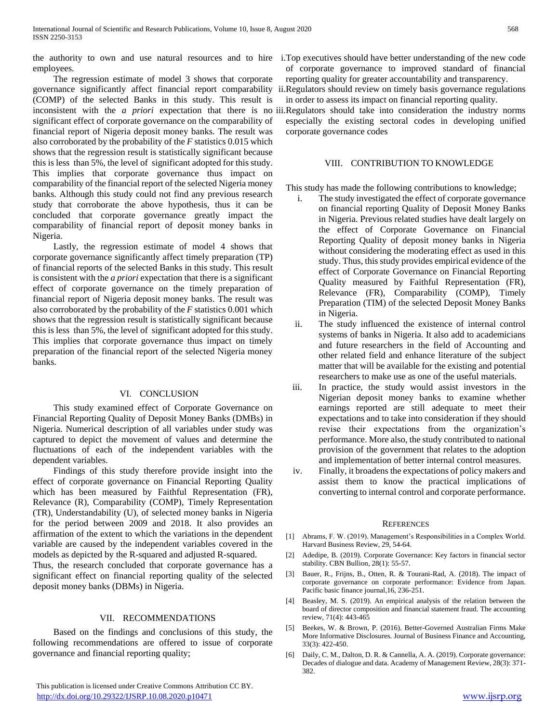the authority to own and use natural resources and to hire i.Top executives should have better understanding of the new code employees.

 The regression estimate of model 3 shows that corporate governance significantly affect financial report comparability (COMP) of the selected Banks in this study. This result is significant effect of corporate governance on the comparability of financial report of Nigeria deposit money banks. The result was also corroborated by the probability of the *F* statistics 0.015 which shows that the regression result is statistically significant because this is less than 5%, the level of significant adopted for this study. This implies that corporate governance thus impact on comparability of the financial report of the selected Nigeria money banks. Although this study could not find any previous research study that corroborate the above hypothesis, thus it can be concluded that corporate governance greatly impact the comparability of financial report of deposit money banks in Nigeria.

 Lastly, the regression estimate of model 4 shows that corporate governance significantly affect timely preparation (TP) of financial reports of the selected Banks in this study. This result is consistent with the *a priori* expectation that there is a significant effect of corporate governance on the timely preparation of financial report of Nigeria deposit money banks. The result was also corroborated by the probability of the *F* statistics 0.001 which shows that the regression result is statistically significant because this is less than 5%, the level of significant adopted for this study. This implies that corporate governance thus impact on timely preparation of the financial report of the selected Nigeria money banks.

#### VI. CONCLUSION

 This study examined effect of Corporate Governance on Financial Reporting Quality of Deposit Money Banks (DMBs) in Nigeria. Numerical description of all variables under study was captured to depict the movement of values and determine the fluctuations of each of the independent variables with the dependent variables.

 Findings of this study therefore provide insight into the effect of corporate governance on Financial Reporting Quality which has been measured by Faithful Representation (FR), Relevance (R), Comparability (COMP), Timely Representation (TR), Understandability (U), of selected money banks in Nigeria for the period between 2009 and 2018. It also provides an affirmation of the extent to which the variations in the dependent variable are caused by the independent variables covered in the models as depicted by the R-squared and adjusted R-squared.

Thus, the research concluded that corporate governance has a significant effect on financial reporting quality of the selected deposit money banks (DBMs) in Nigeria.

#### VII. RECOMMENDATIONS

 Based on the findings and conclusions of this study, the following recommendations are offered to issue of corporate governance and financial reporting quality;

 This publication is licensed under Creative Commons Attribution CC BY. <http://dx.doi.org/10.29322/IJSRP.10.08.2020.p10471> [www.ijsrp.org](http://ijsrp.org/)

- of corporate governance to improved standard of financial reporting quality for greater accountability and transparency.
- ii.Regulators should review on timely basis governance regulations in order to assess its impact on financial reporting quality.
- inconsistent with the *a priori* expectation that there is no iii.Regulators should take into consideration the industry norms especially the existing sectoral codes in developing unified corporate governance codes

#### VIII. CONTRIBUTION TO KNOWLEDGE

This study has made the following contributions to knowledge;

- i. The study investigated the effect of corporate governance on financial reporting Quality of Deposit Money Banks in Nigeria. Previous related studies have dealt largely on the effect of Corporate Governance on Financial Reporting Quality of deposit money banks in Nigeria without considering the moderating effect as used in this study. Thus, this study provides empirical evidence of the effect of Corporate Governance on Financial Reporting Quality measured by Faithful Representation (FR), Relevance (FR), Comparability (COMP), Timely Preparation (TIM) of the selected Deposit Money Banks in Nigeria.
- ii. The study influenced the existence of internal control systems of banks in Nigeria. It also add to academicians and future researchers in the field of Accounting and other related field and enhance literature of the subject matter that will be available for the existing and potential researchers to make use as one of the useful materials.
- iii. In practice, the study would assist investors in the Nigerian deposit money banks to examine whether earnings reported are still adequate to meet their expectations and to take into consideration if they should revise their expectations from the organization's performance. More also, the study contributed to national provision of the government that relates to the adoption and implementation of better internal control measures.
- iv. Finally, it broadens the expectations of policy makers and assist them to know the practical implications of converting to internal control and corporate performance.

#### **REFERENCES**

- [1] Abrams, F. W. (2019). Management's Responsibilities in a Complex World. Harvard Business Review, 29, 54-64.
- [2] Adedipe, B. (2019). Corporate Governance: Key factors in financial sector stability. CBN Bullion, 28(1): 55-57.
- [3] Bauer, R., Frijns, B., Otten, R. & Tourani-Rad, A. (2018). The impact of corporate governance on corporate performance: Evidence from Japan. Pacific basic finance journal,16, 236-251.
- [4] Beasley, M. S. (2019). An empirical analysis of the relation between the board of director composition and financial statement fraud. The accounting review, 71(4): 443-465
- [5] Beekes, W. & Brown, P. (2016). Better-Governed Australian Firms Make More Informative Disclosures. Journal of Business Finance and Accounting, 33(3): 422-450.
- [6] Daily, C. M., Dalton, D. R. & Cannella, A. A. (2019). Corporate governance: Decades of dialogue and data. Academy of Management Review, 28(3): 371- 382.